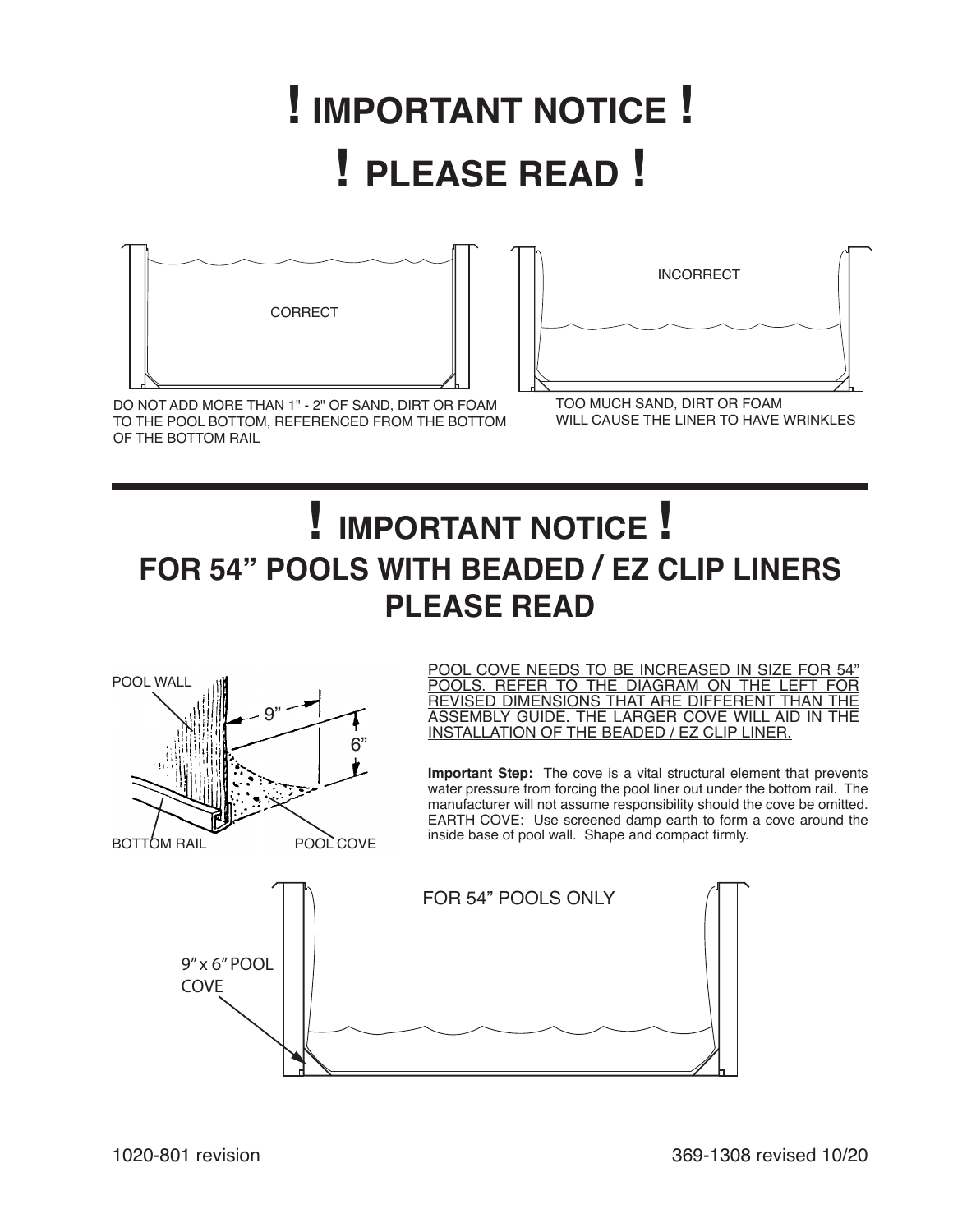## **! IMPORTANT NOTICE !** ! PLEASE READ ! TO THE POOL BOTTOM, REFERENCE





DO NOT ADD MORE THAN 1" - 2" OF SAND, DIRT OR FOAM TO THE POOL BOTTOM, REFERENCED FROM THE BOTTOM OF THE BOTTOM RAIL

TOO MUCH SAND, DIRT OR FOAM WILL CAUSE THE LINER TO HAVE WRINKLES

## INCORRECT **! IMPORTANT NOTICE ! FOR 54" POOLS WITH BEADED / EZ CLIP LINERS PLEASE READ**